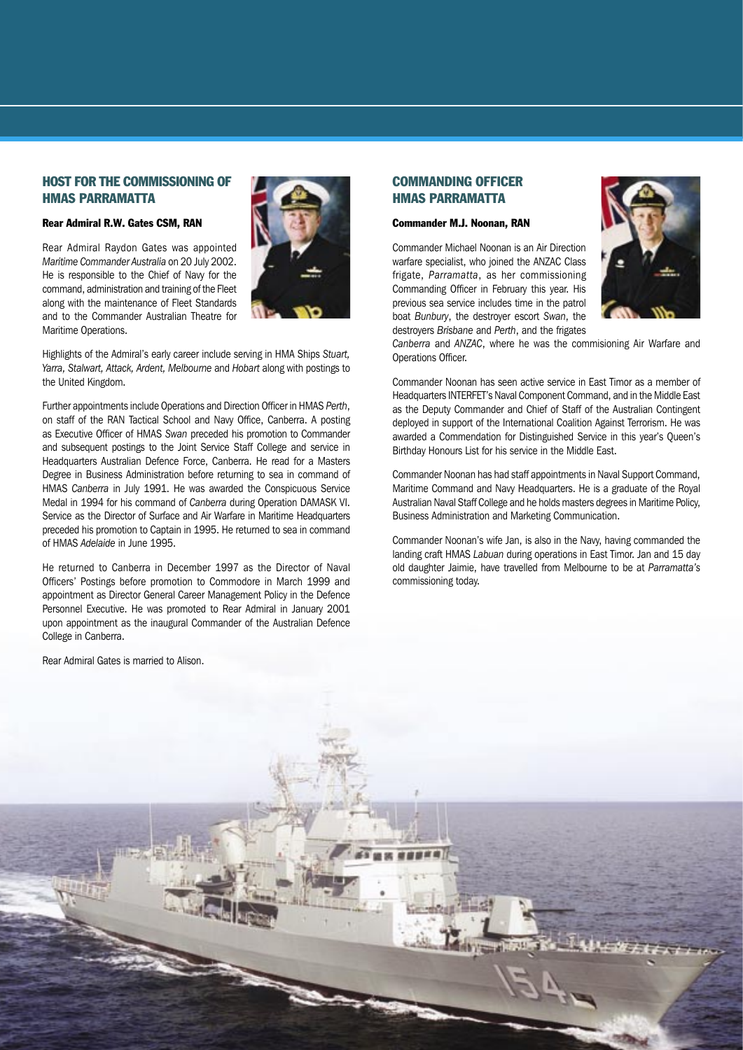#### HOST FOR THE COMMISSIONING OF HMAS PARRAMATTA

#### Rear Admiral R.W. Gates CSM, RAN

Rear Admiral Raydon Gates was appointed *Maritime Commander Australia* on 20 July 2002. He is responsible to the Chief of Navy for the command, administration and training of the Fleet along with the maintenance of Fleet Standards and to the Commander Australian Theatre for Maritime Operations.



Highlights of the Admiral's early career include serving in HMA Ships *Stuart, Yarra, Stalwart, Attack, Ardent, Melbourne* and *Hobart* along with postings to the United Kingdom.

Further appointments include Operations and Direction Officer in HMAS *Perth*, on staff of the RAN Tactical School and Navy Office, Canberra. A posting as Executive Officer of HMAS *Swan* preceded his promotion to Commander and subsequent postings to the Joint Service Staff College and service in Headquarters Australian Defence Force, Canberra. He read for a Masters Degree in Business Administration before returning to sea in command of HMAS *Canberra* in July 1991. He was awarded the Conspicuous Service Medal in 1994 for his command of *Canberra* during Operation DAMASK VI. Service as the Director of Surface and Air Warfare in Maritime Headquarters preceded his promotion to Captain in 1995. He returned to sea in command of HMAS *Adelaide* in June 1995.

He returned to Canberra in December 1997 as the Director of Naval Officers' Postings before promotion to Commodore in March 1999 and appointment as Director General Career Management Policy in the Defence Personnel Executive. He was promoted to Rear Admiral in January 2001 upon appointment as the inaugural Commander of the Australian Defence College in Canberra.

Rear Admiral Gates is married to Alison.

#### COMMANDING OFFICER HMAS PARRAMATTA

#### Commander M.J. Noonan, RAN

Commander Michael Noonan is an Air Direction warfare specialist, who joined the ANZAC Class frigate, *Parramatta*, as her commissioning Commanding Officer in February this year. His previous sea service includes time in the patrol boat *Bunbury*, the destroyer escort *Swan*, the destroyers *Brisbane* and *Perth*, and the frigates



*Canberra* and *ANZAC*, where he was the commisioning Air Warfare and Operations Officer.

Commander Noonan has seen active service in East Timor as a member of Headquarters INTERFET's Naval Component Command, and in the Middle East as the Deputy Commander and Chief of Staff of the Australian Contingent deployed in support of the International Coalition Against Terrorism. He was awarded a Commendation for Distinguished Service in this year's Queen's Birthday Honours List for his service in the Middle East.

Commander Noonan has had staff appointments in Naval Support Command, Maritime Command and Navy Headquarters. He is a graduate of the Royal Australian Naval Staff College and he holds masters degrees in Maritime Policy, Business Administration and Marketing Communication.

Commander Noonan's wife Jan, is also in the Navy, having commanded the landing craft HMAS *Labuan* during operations in East Timor. Jan and 15 day old daughter Jaimie, have travelled from Melbourne to be at *Parramatta's*  commissioning today.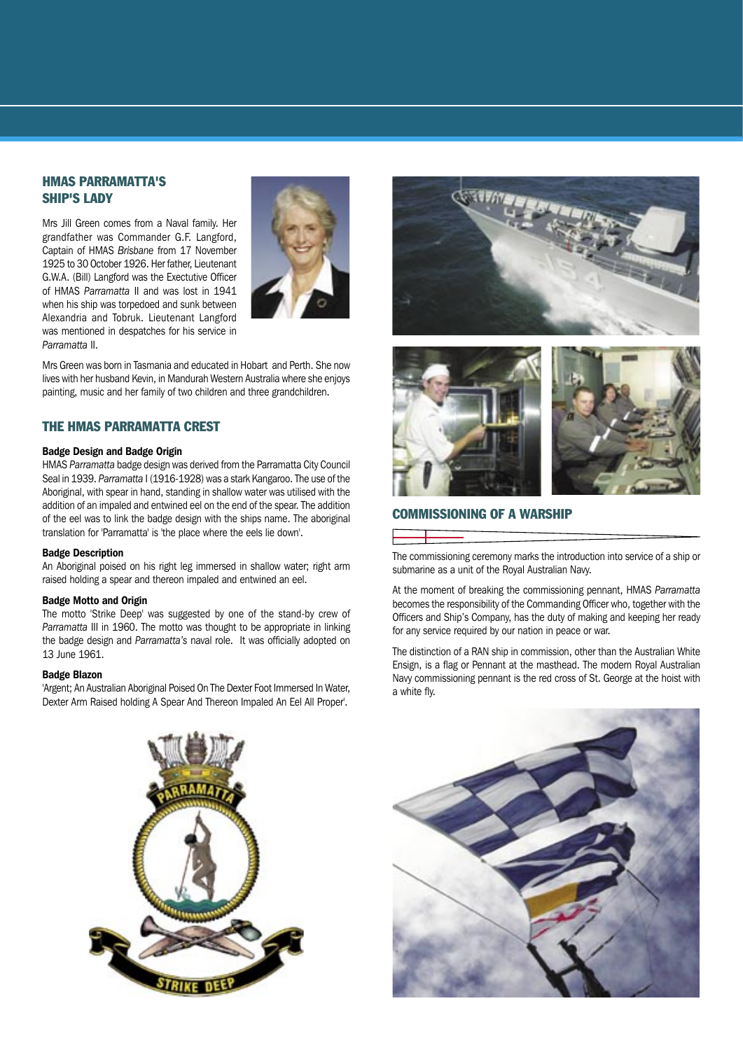#### HMAS PARRAMATTA'S SHIP'S LADY

Mrs Jill Green comes from a Naval family. Her grandfather was Commander G.F. Langford, Captain of HMAS *Brisbane* from 17 November 1925 to 30 October 1926. Her father, Lieutenant G.W.A. (Bill) Langford was the Exectutive Officer of HMAS *Parramatta* II and was lost in 1941 when his ship was torpedoed and sunk between Alexandria and Tobruk. Lieutenant Langford was mentioned in despatches for his service in *Parramatta* II.



Mrs Green was born in Tasmania and educated in Hobart and Perth. She now lives with her husband Kevin, in Mandurah Western Australia where she enjoys painting, music and her family of two children and three grandchildren.

#### THE HMAS PARRAMATTA CREST

#### Badge Design and Badge Origin

HMAS *Parramatta* badge design was derived from the Parramatta City Council Seal in 1939. *Parramatta* I (1916-1928) was a stark Kangaroo. The use of the Aboriginal, with spear in hand, standing in shallow water was utilised with the addition of an impaled and entwined eel on the end of the spear. The addition of the eel was to link the badge design with the ships name. The aboriginal translation for 'Parramatta' is 'the place where the eels lie down'.

#### Badge Description

An Aboriginal poised on his right leg immersed in shallow water; right arm raised holding a spear and thereon impaled and entwined an eel.

#### Badge Motto and Origin

The motto 'Strike Deep' was suggested by one of the stand-by crew of *Parramatta* III in 1960. The motto was thought to be appropriate in linking the badge design and *Parramatta's* naval role. It was officially adopted on 13 June 1961.

#### Badge Blazon

'Argent; An Australian Aboriginal Poised On The Dexter Foot Immersed In Water, Dexter Arm Raised holding A Spear And Thereon Impaled An Eel All Proper'.





#### COMMISSIONING OF A WARSHIP

The commissioning ceremony marks the introduction into service of a ship or submarine as a unit of the Royal Australian Navy.

At the moment of breaking the commissioning pennant, HMAS Parramatta becomes the responsibility of the Commanding Officer who, together with the Officers and Ship's Company, has the duty of making and keeping her ready for any service required by our nation in peace or war.

The distinction of a RAN ship in commission, other than the Australian White Ensign, is a flag or Pennant at the masthead. The modern Royal Australian Navy commissioning pennant is the red cross of St. George at the hoist with a white fly.



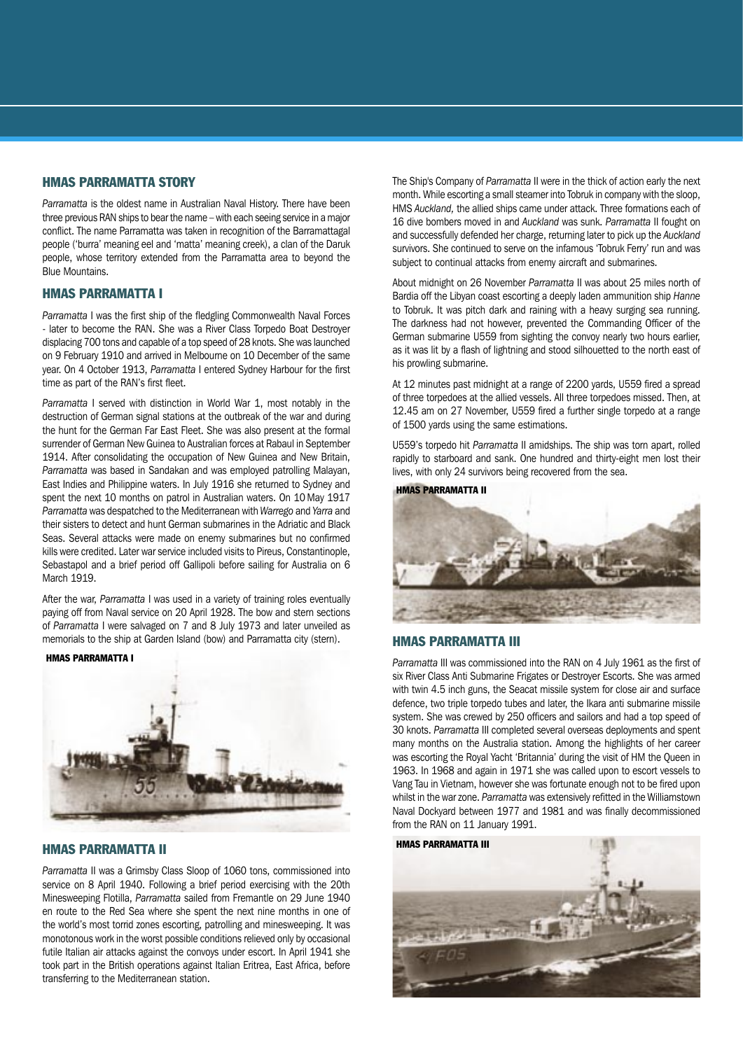#### HMAS PARRAMATTA STORY

*Parramatta* is the oldest name in Australian Naval History. There have been three previous RAN ships to bear the name – with each seeing service in a major conflict. The name Parramatta was taken in recognition of the Barramattagal people ('burra' meaning eel and 'matta' meaning creek), a clan of the Daruk people, whose territory extended from the Parramatta area to beyond the Blue Mountains.

#### HMAS PARRAMATTA I

*Parramatta* I was the first ship of the fledgling Commonwealth Naval Forces - later to become the RAN. She was a River Class Torpedo Boat Destroyer displacing 700 tons and capable of a top speed of 28 knots. She was launched on 9 February 1910 and arrived in Melbourne on 10 December of the same year. On 4 October 1913, *Parramatta* I entered Sydney Harbour for the first time as part of the RAN's first fleet.

*Parramatta* I served with distinction in World War 1, most notably in the destruction of German signal stations at the outbreak of the war and during the hunt for the German Far East Fleet. She was also present at the formal surrender of German New Guinea to Australian forces at Rabaul in September 1914. After consolidating the occupation of New Guinea and New Britain, *Parramatta* was based in Sandakan and was employed patrolling Malayan, East Indies and Philippine waters. In July 1916 she returned to Sydney and spent the next 10 months on patrol in Australian waters. On 10 May 1917 *Parramatta* was despatched to the Mediterranean with *Warrego* and *Yarra* and their sisters to detect and hunt German submarines in the Adriatic and Black Seas. Several attacks were made on enemy submarines but no confirmed kills were credited. Later war service included visits to Pireus, Constantinople, Sebastapol and a brief period off Gallipoli before sailing for Australia on 6 March 1919.

After the war, *Parramatta* I was used in a variety of training roles eventually paying off from Naval service on 20 April 1928. The bow and stern sections of *Parramatta* I were salvaged on 7 and 8 July 1973 and later unveiled as memorials to the ship at Garden Island (bow) and Parramatta city (stern).

#### HMAS PARRAMATTA I



#### HMAS PARRAMATTA II

*Parramatta* II was a Grimsby Class Sloop of 1060 tons, commissioned into service on 8 April 1940. Following a brief period exercising with the 20th Minesweeping Flotilla, *Parramatta* sailed from Fremantle on 29 June 1940 en route to the Red Sea where she spent the next nine months in one of the world's most torrid zones escorting, patrolling and minesweeping. It was monotonous work in the worst possible conditions relieved only by occasional futile Italian air attacks against the convoys under escort. In April 1941 she took part in the British operations against Italian Eritrea, East Africa, before transferring to the Mediterranean station.

The Ship's Company of *Parramatta* II were in the thick of action early the next month. While escorting a small steamer into Tobruk in company with the sloop, HMS *Auckland,* the allied ships came under attack. Three formations each of 16 dive bombers moved in and *Auckland* was sunk. *Parramatta* II fought on and successfully defended her charge, returning later to pick up the *Auckland*  survivors. She continued to serve on the infamous 'Tobruk Ferry' run and was subject to continual attacks from enemy aircraft and submarines.

About midnight on 26 November *Parramatta* II was about 25 miles north of Bardia off the Libyan coast escorting a deeply laden ammunition ship *Hanne*  to Tobruk. It was pitch dark and raining with a heavy surging sea running. The darkness had not however, prevented the Commanding Officer of the German submarine U559 from sighting the convoy nearly two hours earlier, as it was lit by a flash of lightning and stood silhouetted to the north east of his prowling submarine.

At 12 minutes past midnight at a range of 2200 yards, U559 fired a spread of three torpedoes at the allied vessels. All three torpedoes missed. Then, at 12.45 am on 27 November, U559 fired a further single torpedo at a range of 1500 yards using the same estimations.

U559's torpedo hit *Parramatta* II amidships. The ship was torn apart, rolled rapidly to starboard and sank. One hundred and thirty-eight men lost their lives, with only 24 survivors being recovered from the sea.

HMAS PARRAMATTA II



#### HMAS PARRAMATTA III

*Parramatta* III was commissioned into the RAN on 4 July 1961 as the first of six River Class Anti Submarine Frigates or Destroyer Escorts. She was armed with twin 4.5 inch guns, the Seacat missile system for close air and surface defence, two triple torpedo tubes and later, the Ikara anti submarine missile system. She was crewed by 250 officers and sailors and had a top speed of 30 knots. *Parramatta* III completed several overseas deployments and spent many months on the Australia station. Among the highlights of her career was escorting the Royal Yacht 'Britannia' during the visit of HM the Queen in 1963. In 1968 and again in 1971 she was called upon to escort vessels to Vang Tau in Vietnam, however she was fortunate enough not to be fired upon whilst in the war zone. *Parramatta* was extensively refitted in the Williamstown Naval Dockyard between 1977 and 1981 and was finally decommissioned from the RAN on 11 January 1991.

HMAS PARRAMATTA III

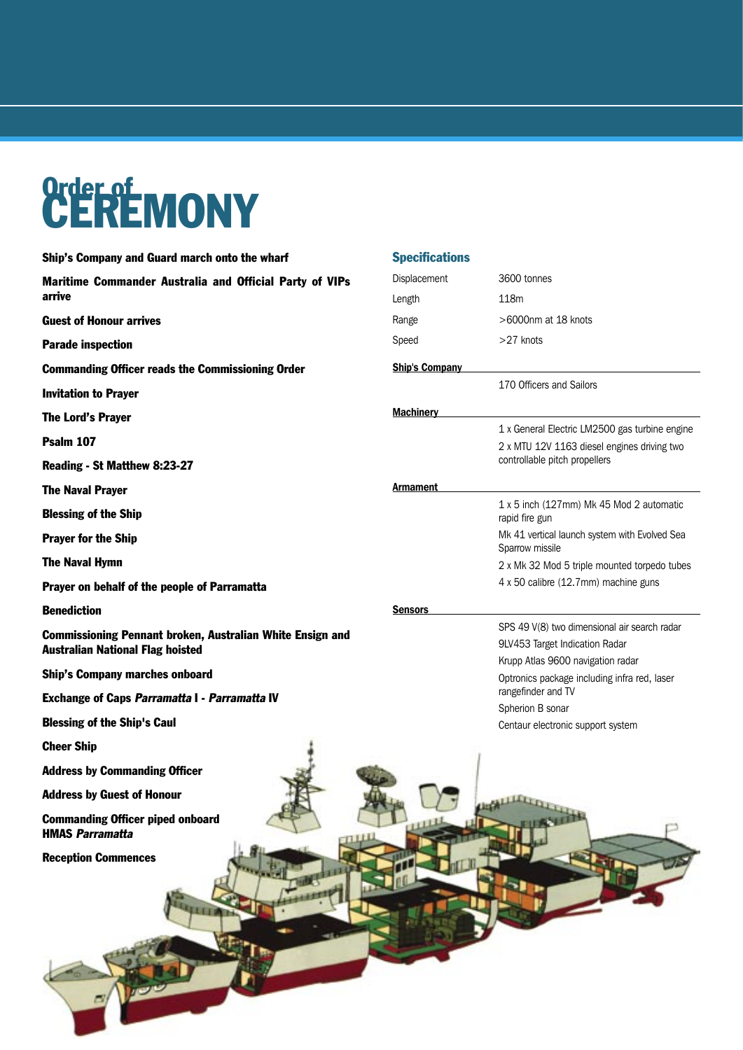# Order of<br>CEREMONY

| Ship's Company and Guard march onto the wharf                                                               | <b>Specifica</b>     |
|-------------------------------------------------------------------------------------------------------------|----------------------|
| Maritime Commander Australia and Official Party of VIPs<br>arrive                                           | Displaceme<br>Length |
| <b>Guest of Honour arrives</b>                                                                              | Range                |
| <b>Parade inspection</b>                                                                                    | Speed                |
| <b>Commanding Officer reads the Commissioning Order</b>                                                     | <b>Ship's Com</b>    |
| <b>Invitation to Prayer</b>                                                                                 |                      |
| The Lord's Prayer                                                                                           | <b>Machinery</b>     |
| Psalm 107                                                                                                   |                      |
| Reading - St Matthew 8:23-27                                                                                |                      |
| <b>The Naval Prayer</b>                                                                                     | Armament             |
| <b>Blessing of the Ship</b>                                                                                 |                      |
| <b>Prayer for the Ship</b>                                                                                  |                      |
| <b>The Naval Hymn</b>                                                                                       |                      |
| Prayer on behalf of the people of Parramatta                                                                |                      |
| <b>Benediction</b>                                                                                          | Sensors              |
| <b>Commissioning Pennant broken, Australian White Ensign and</b><br><b>Australian National Flag hoisted</b> |                      |
| <b>Ship's Company marches onboard</b>                                                                       |                      |
| <b>Exchange of Caps Parramatta I - Parramatta IV</b>                                                        |                      |
| <b>Blessing of the Ship's Caul</b>                                                                          |                      |
| <b>Cheer Ship</b>                                                                                           |                      |
| <b>Address by Commanding Officer</b>                                                                        |                      |
| <b>Address by Guest of Honour</b>                                                                           |                      |
| <b>Commanding Officer piped onboard</b><br><b>HMAS Parramatta</b>                                           |                      |
| <b>Reception Commences</b>                                                                                  |                      |
|                                                                                                             |                      |
|                                                                                                             |                      |

| <b>Specifications</b> |                                                                                                                                |  |  |  |  |  |
|-----------------------|--------------------------------------------------------------------------------------------------------------------------------|--|--|--|--|--|
| Displacement          | 3600 tonnes                                                                                                                    |  |  |  |  |  |
| Length                | 118m                                                                                                                           |  |  |  |  |  |
| Range                 | >6000nm at 18 knots                                                                                                            |  |  |  |  |  |
| Speed                 | $>27$ knots                                                                                                                    |  |  |  |  |  |
| <b>Ship's Company</b> |                                                                                                                                |  |  |  |  |  |
|                       | 170 Officers and Sailors                                                                                                       |  |  |  |  |  |
| <b>Machinery</b>      |                                                                                                                                |  |  |  |  |  |
|                       | 1 x General Electric LM2500 gas turbine engine<br>2 x MTU 12V 1163 diesel engines driving two<br>controllable pitch propellers |  |  |  |  |  |
| Armament              |                                                                                                                                |  |  |  |  |  |
|                       | 1 x 5 inch (127mm) Mk 45 Mod 2 automatic<br>rapid fire gun                                                                     |  |  |  |  |  |
|                       | Mk 41 vertical launch system with Evolved Sea<br>Sparrow missile                                                               |  |  |  |  |  |
|                       | 2 x Mk 32 Mod 5 triple mounted torpedo tubes<br>4 x 50 calibre (12.7mm) machine guns                                           |  |  |  |  |  |
| Sensors               |                                                                                                                                |  |  |  |  |  |
|                       | SPS 49 V(8) two dimensional air search radar                                                                                   |  |  |  |  |  |
|                       | 9LV453 Target Indication Radar                                                                                                 |  |  |  |  |  |
|                       | Krupp Atlas 9600 navigation radar                                                                                              |  |  |  |  |  |
|                       | Optronics package including infra red, laser<br>rangefinder and TV                                                             |  |  |  |  |  |
|                       | Spherion B sonar                                                                                                               |  |  |  |  |  |
|                       | Centaur electronic support system                                                                                              |  |  |  |  |  |
|                       |                                                                                                                                |  |  |  |  |  |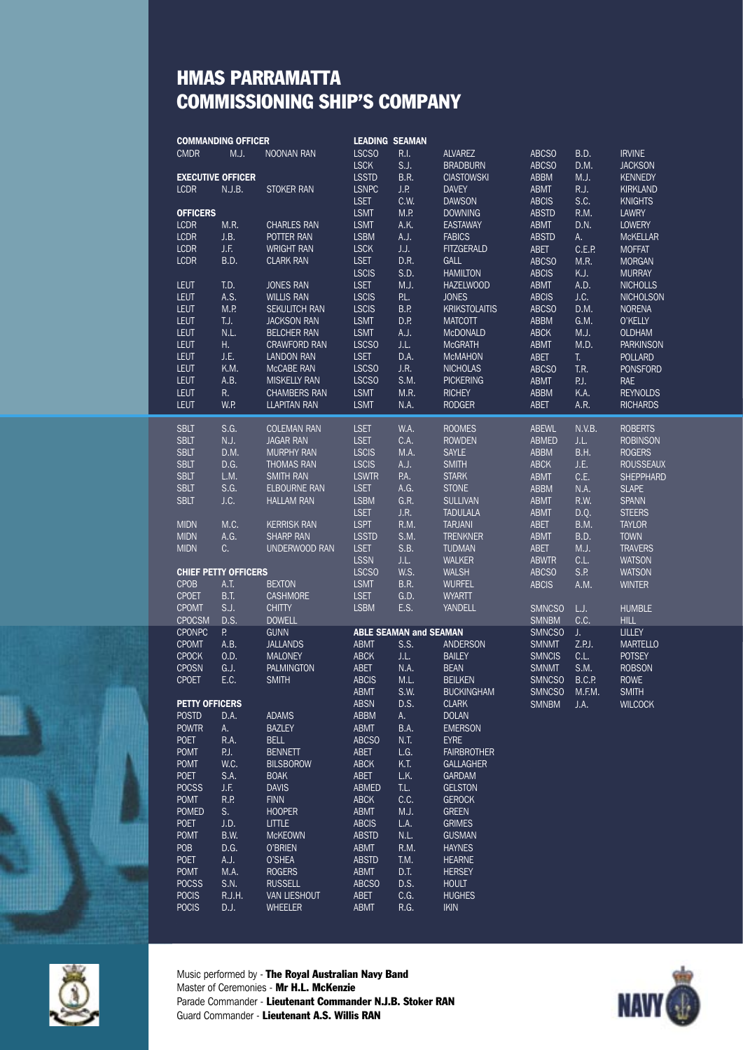### HMAS PARRAMATTA COMMISSIONING SHIP'S COMPANY

|                       | <b>COMMANDING OFFICER</b><br><b>LEADING SEAMAN</b> |                             |                                            |                             |                               |                                        |                             |             |                               |
|-----------------------|----------------------------------------------------|-----------------------------|--------------------------------------------|-----------------------------|-------------------------------|----------------------------------------|-----------------------------|-------------|-------------------------------|
|                       | <b>CMDR</b>                                        | M.J.                        | <b>NOONAN RAN</b>                          | <b>LSCSO</b>                | R.I.                          | <b>ALVAREZ</b>                         | <b>ABCSO</b>                | B.D.        | <b>IRVINE</b>                 |
|                       |                                                    |                             |                                            | <b>LSCK</b>                 | S.J.                          | <b>BRADBURN</b>                        | <b>ABCSO</b>                | D.M.        | <b>JACKSON</b>                |
|                       | <b>EXECUTIVE OFFICER</b>                           |                             |                                            | <b>LSSTD</b>                | <b>B.R.</b>                   | <b>CIASTOWSKI</b>                      | <b>ABBM</b>                 | M.J.        | <b>KENNEDY</b>                |
|                       | <b>LCDR</b>                                        | N.J.B.                      | <b>STOKER RAN</b>                          | <b>LSNPC</b>                | J.P.                          | <b>DAVEY</b>                           | <b>ABMT</b>                 | R.J.        | <b>KIRKLAND</b>               |
|                       |                                                    |                             |                                            | <b>LSET</b>                 | C.W.                          | <b>DAWSON</b>                          | <b>ABCIS</b>                | S.C.        | <b>KNIGHTS</b>                |
|                       | <b>OFFICERS</b>                                    |                             |                                            | <b>LSMT</b>                 | M.P.                          | <b>DOWNING</b>                         | <b>ABSTD</b>                | R.M.        | <b>LAWRY</b>                  |
|                       | <b>LCDR</b>                                        | M.R.                        | <b>CHARLES RAN</b>                         | <b>LSMT</b>                 | A.K.                          | <b>EASTAWAY</b>                        | <b>ABMT</b>                 | D.N.        | <b>LOWERY</b>                 |
|                       | <b>LCDR</b>                                        | J.B.                        | POTTER RAN                                 | <b>LSBM</b>                 | A.J.                          | <b>FABICS</b>                          | <b>ABSTD</b>                | A.          | <b>MCKELLAR</b>               |
|                       | <b>LCDR</b>                                        | J.F.                        | <b>WRIGHT RAN</b>                          | <b>LSCK</b>                 | J.J.                          | <b>FITZGERALD</b>                      | <b>ABET</b>                 | C.E.P.      | <b>MOFFAT</b>                 |
|                       | <b>LCDR</b>                                        | B.D.                        | <b>CLARK RAN</b>                           | <b>LSET</b>                 | D.R.                          | GALL                                   | <b>ABCSO</b>                | M.R.        | <b>MORGAN</b>                 |
|                       |                                                    |                             |                                            | <b>LSCIS</b>                | S.D.                          | <b>HAMILTON</b>                        | <b>ABCIS</b>                | K.J.        | <b>MURRAY</b>                 |
|                       | <b>LEUT</b>                                        | T.D.                        | <b>JONES RAN</b>                           | <b>LSET</b>                 | M.J.                          | <b>HAZELWOOD</b>                       | <b>ABMT</b>                 | A.D.        | <b>NICHOLLS</b>               |
|                       | <b>LEUT</b>                                        | A.S.                        | <b>WILLIS RAN</b>                          | <b>LSCIS</b>                | P.L.                          | <b>JONES</b>                           | <b>ABCIS</b>                | J.C.        | <b>NICHOLSON</b>              |
|                       | <b>LEUT</b>                                        | M.P.                        | <b>SEKULITCH RAN</b><br><b>JACKSON RAN</b> | <b>LSCIS</b>                | B.P.                          | <b>KRIKSTOLAITIS</b><br><b>MATCOTT</b> | <b>ABCSO</b>                | D.M.        | <b>NORENA</b><br>O'KELLY      |
|                       | <b>LEUT</b>                                        | T.J.                        |                                            | <b>LSMT</b>                 | D.P.                          |                                        | <b>ABBM</b>                 | G.M.        |                               |
|                       | <b>LEUT</b><br><b>LEUT</b>                         | N.L.                        | <b>BELCHER RAN</b>                         | <b>LSMT</b><br><b>LSCSO</b> | A.J.                          | <b>McDONALD</b>                        | <b>ABCK</b>                 | M.J.        | <b>OLDHAM</b>                 |
|                       |                                                    | Η.                          | <b>CRAWFORD RAN</b>                        |                             | J.L.                          | <b>McGRATH</b>                         | <b>ABMT</b>                 | M.D.        | <b>PARKINSON</b>              |
|                       | <b>LEUT</b><br><b>LEUT</b>                         | J.E.<br>K.M.                | <b>LANDON RAN</b><br>McCABE RAN            | <b>LSET</b><br><b>LSCSO</b> | D.A.<br>J.R.                  | <b>MCMAHON</b><br><b>NICHOLAS</b>      | <b>ABET</b>                 | Т.<br>T.R.  | POLLARD                       |
|                       | <b>LEUT</b>                                        | A.B.                        | <b>MISKELLY RAN</b>                        | <b>LSCSO</b>                | S.M.                          | <b>PICKERING</b>                       | <b>ABCSO</b><br><b>ABMT</b> | P.J.        | <b>PONSFORD</b><br><b>RAE</b> |
|                       | <b>LEUT</b>                                        | R.                          | <b>CHAMBERS RAN</b>                        | <b>LSMT</b>                 | M.R.                          | <b>RICHEY</b>                          | <b>ABBM</b>                 | K.A.        | <b>REYNOLDS</b>               |
|                       | <b>LEUT</b>                                        | W.P.                        | <b>LLAPITAN RAN</b>                        | <b>LSMT</b>                 | N.A.                          | <b>RODGER</b>                          | <b>ABET</b>                 | A.R.        | <b>RICHARDS</b>               |
|                       |                                                    |                             |                                            |                             |                               |                                        |                             |             |                               |
|                       | <b>SBLT</b>                                        | S.G.                        | <b>COLEMAN RAN</b>                         | <b>LSET</b>                 | W.A.                          | <b>ROOMES</b>                          | <b>ABEWL</b>                | N.V.B.      | <b>ROBERTS</b>                |
|                       | <b>SBLT</b>                                        | N.J.                        | <b>JAGAR RAN</b>                           | <b>LSET</b>                 | C.A.                          | <b>ROWDEN</b>                          | <b>ABMED</b>                | J.L.        | <b>ROBINSON</b>               |
|                       | <b>SBLT</b>                                        | D.M.                        | <b>MURPHY RAN</b>                          | <b>LSCIS</b>                | M.A.                          | <b>SAYLE</b>                           | <b>ABBM</b>                 | <b>B.H.</b> | <b>ROGERS</b>                 |
|                       | <b>SBLT</b>                                        | D.G.                        | <b>THOMAS RAN</b>                          | <b>LSCIS</b>                | A.J.                          | <b>SMITH</b>                           | <b>ABCK</b>                 | J.E.        | <b>ROUSSEAUX</b>              |
|                       | <b>SBLT</b>                                        | L.M.                        | <b>SMITH RAN</b>                           | <b>LSWTR</b>                | P.A.                          | <b>STARK</b>                           | <b>ABMT</b>                 | C.E.        | <b>SHEPPHARD</b>              |
|                       | <b>SBLT</b>                                        | S.G.                        | <b>ELBOURNE RAN</b>                        | <b>LSET</b>                 | A.G.                          | <b>STONE</b>                           | <b>ABBM</b>                 | N.A.        | <b>SLAPE</b>                  |
|                       | <b>SBLT</b>                                        | J.C.                        | <b>HALLAM RAN</b>                          | <b>LSBM</b>                 | G.R.                          | <b>SULLIVAN</b>                        | <b>ABMT</b>                 | R.W.        | <b>SPANN</b>                  |
|                       |                                                    |                             |                                            | <b>LSET</b>                 | J.R.                          | <b>TADULALA</b>                        | <b>ABMT</b>                 | D.Q.        | <b>STEERS</b>                 |
|                       | <b>MIDN</b>                                        | M.C.                        | <b>KERRISK RAN</b>                         | <b>LSPT</b>                 | R.M.                          | <b>TARJANI</b>                         | <b>ABET</b>                 | B.M.        | <b>TAYLOR</b>                 |
|                       | <b>MIDN</b>                                        | A.G.                        | <b>SHARP RAN</b>                           | <b>LSSTD</b>                | S.M.                          | <b>TRENKNER</b>                        | <b>ABMT</b>                 | B.D.        | <b>TOWN</b>                   |
|                       | <b>MIDN</b>                                        | C.                          | UNDERWOOD RAN                              | <b>LSET</b>                 | S.B.                          | <b>TUDMAN</b>                          | <b>ABET</b>                 | M.J.        | <b>TRAVERS</b>                |
|                       |                                                    |                             |                                            | <b>LSSN</b>                 | J.L.                          | <b>WALKER</b>                          | <b>ABWTR</b>                | C.L.        | <b>WATSON</b>                 |
|                       |                                                    | <b>CHIEF PETTY OFFICERS</b> |                                            | <b>LSCSO</b>                | W.S.                          | <b>WALSH</b>                           | <b>ABCSO</b>                | S.P.        | <b>WATSON</b>                 |
|                       | <b>CPOB</b>                                        | A.T.                        | <b>BEXTON</b>                              | <b>LSMT</b>                 | <b>B.R.</b>                   | <b>WURFEL</b>                          | <b>ABCIS</b>                | A.M.        | <b>WINTER</b>                 |
|                       | <b>CPOET</b>                                       | <b>B.T.</b>                 | <b>CASHMORE</b>                            | <b>LSET</b>                 | G.D.                          | <b>WYARTT</b>                          |                             |             |                               |
|                       | <b>CPOMT</b>                                       | S.J.                        | <b>CHITTY</b>                              | <b>LSBM</b>                 | E.S.                          | <b>YANDELL</b>                         | <b>SMNCSO</b>               | LJ.         | <b>HUMBLE</b>                 |
|                       | <b>CPOCSM</b>                                      | D.S.                        | <b>DOWELL</b>                              |                             |                               |                                        | <b>SMNBM</b>                | C.C.        | <b>HILL</b>                   |
|                       | <b>CPONPC</b>                                      | P.                          | <b>GUNN</b>                                |                             | <b>ABLE SEAMAN and SEAMAN</b> |                                        | <b>SMNCSO</b>               | J.          | <b>LILLEY</b>                 |
|                       | <b>CPOMT</b>                                       | A.B.                        | <b>JALLANDS</b>                            | <b>ABMT</b>                 | S.S.                          | <b>ANDERSON</b>                        | <b>SMNMT</b>                | Z.P.J.      | <b>MARTELLO</b>               |
|                       | <b>CPOCK</b>                                       | 0.D.                        | <b>MALONEY</b>                             | <b>ABCK</b>                 | J.L.                          | <b>BAILEY</b>                          | <b>SMNCIS</b>               | C.L.        | <b>POTSEY</b>                 |
|                       | <b>CPOSN</b>                                       | G.J.                        | <b>PALMINGTON</b>                          | <b>ABET</b>                 | N.A.                          | <b>BEAN</b>                            | <b>SMNMT</b>                | S.M.        | <b>ROBSON</b>                 |
|                       | <b>CPOET</b>                                       | E.C.                        | <b>SMITH</b>                               | <b>ABCIS</b>                | M.L.                          | <b>BEILKEN</b>                         | <b>SMNCSO</b>               | B.C.P.      | <b>ROWE</b>                   |
| <b>PETTY OFFICERS</b> |                                                    |                             |                                            | <b>ABMT</b>                 | S.W.                          | <b>BUCKINGHAM</b>                      | <b>SMNCSO</b>               | M.F.M.      | <b>SMITH</b>                  |
|                       | <b>POSTD</b>                                       | D.A.                        | <b>ADAMS</b>                               | <b>ABSN</b><br>ABBM         | D.S.<br>А.                    | <b>CLARK</b><br><b>DOLAN</b>           | <b>SMNBM</b>                | J.A.        | <b>WILCOCK</b>                |
|                       | <b>POWTR</b>                                       | А.                          | <b>BAZLEY</b>                              | <b>ABMT</b>                 | <b>B.A.</b>                   | <b>EMERSON</b>                         |                             |             |                               |
|                       | <b>POET</b>                                        | R.A.                        | <b>BELL</b>                                | <b>ABCSO</b>                | N.T.                          | <b>EYRE</b>                            |                             |             |                               |
|                       | <b>POMT</b>                                        | P.J.                        | <b>BENNETT</b>                             | <b>ABET</b>                 | L.G.                          | <b>FAIRBROTHER</b>                     |                             |             |                               |
|                       | <b>POMT</b>                                        | W.C.                        | <b>BILSBOROW</b>                           | <b>ABCK</b>                 | K.T.                          | <b>GALLAGHER</b>                       |                             |             |                               |
|                       | <b>POET</b>                                        | S.A.                        | <b>BOAK</b>                                | <b>ABET</b>                 | L.K.                          | <b>GARDAM</b>                          |                             |             |                               |
|                       | <b>POCSS</b>                                       | J.F.                        | <b>DAVIS</b>                               | <b>ABMED</b>                | T.L.                          | <b>GELSTON</b>                         |                             |             |                               |
|                       | <b>POMT</b>                                        | R.P.                        | <b>FINN</b>                                | <b>ABCK</b>                 | C.C.                          | <b>GEROCK</b>                          |                             |             |                               |
|                       | <b>POMED</b>                                       | S.                          | <b>HOOPER</b>                              | <b>ABMT</b>                 | M.J.                          | <b>GREEN</b>                           |                             |             |                               |
|                       | <b>POET</b>                                        | J.D.                        | <b>LITTLE</b>                              | <b>ABCIS</b>                | L.A.                          | <b>GRIMES</b>                          |                             |             |                               |
|                       | <b>POMT</b>                                        | <b>B.W.</b>                 | <b>McKEOWN</b>                             | <b>ABSTD</b>                | N.L.                          | <b>GUSMAN</b>                          |                             |             |                               |
|                       | POB                                                | D.G.                        | O'BRIEN                                    | ABMT                        | R.M.                          | <b>HAYNES</b>                          |                             |             |                               |
|                       | <b>POET</b>                                        | A.J.                        | O'SHEA                                     | <b>ABSTD</b>                | T.M.                          | <b>HEARNE</b>                          |                             |             |                               |
|                       | <b>POMT</b>                                        | M.A.                        | <b>ROGERS</b>                              | ABMT                        | D.T.                          | <b>HERSEY</b>                          |                             |             |                               |
|                       | <b>POCSS</b>                                       | S.N.                        | <b>RUSSELL</b>                             | <b>ABCSO</b>                | D.S.                          | <b>HOULT</b>                           |                             |             |                               |
|                       | <b>POCIS</b>                                       | R.J.H.                      | <b>VAN LIESHOUT</b>                        | <b>ABET</b>                 | C.G.                          | <b>HUGHES</b>                          |                             |             |                               |
|                       | <b>POCIS</b>                                       | D.J.                        | WHEELER                                    | <b>ABMT</b>                 | R.G.                          | <b>IKIN</b>                            |                             |             |                               |
|                       |                                                    |                             |                                            |                             |                               |                                        |                             |             |                               |



Music performed by - The Royal Australian Navy Band Master of Ceremonies - Mr H.L. McKenzie Parade Commander - Lieutenant Commander N.J.B. Stoker RAN Guard Commander - Lieutenant A.S. Willis RAN